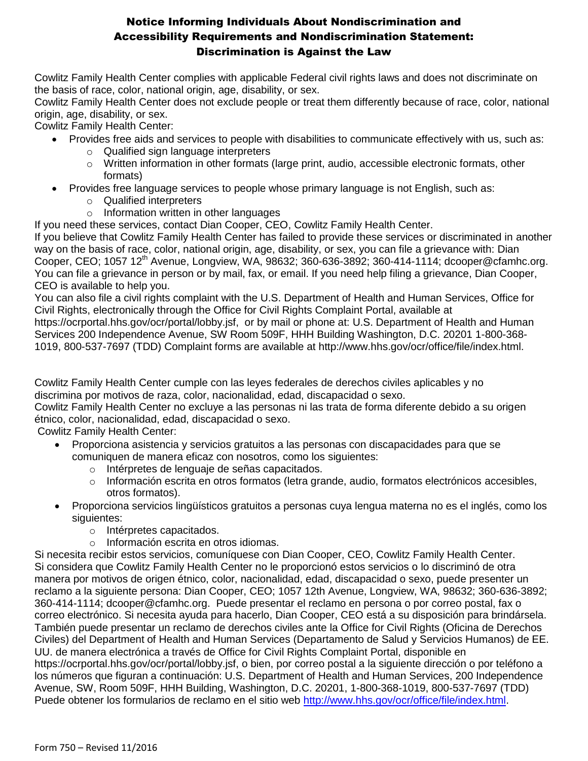Cowlitz Family Health Center complies with applicable Federal civil rights laws and does not discriminate on the basis of race, color, national origin, age, disability, or sex.

Cowlitz Family Health Center does not exclude people or treat them differently because of race, color, national origin, age, disability, or sex.

Cowlitz Family Health Center:

- Provides free aids and services to people with disabilities to communicate effectively with us, such as:
	- o Qualified sign language interpreters
	- o Written information in other formats (large print, audio, accessible electronic formats, other formats)
- Provides free language services to people whose primary language is not English, such as:
	- o Qualified interpreters
	- o Information written in other languages

If you need these services, contact Dian Cooper, CEO, Cowlitz Family Health Center.

If you believe that Cowlitz Family Health Center has failed to provide these services or discriminated in another way on the basis of race, color, national origin, age, disability, or sex, you can file a grievance with: Dian Cooper, CEO; 1057 12<sup>th</sup> Avenue, Longview, WA, 98632; 360-636-3892; 360-414-1114; dcooper@cfamhc.org. You can file a grievance in person or by mail, fax, or email. If you need help filing a grievance, Dian Cooper, CEO is available to help you.

You can also file a civil rights complaint with the U.S. Department of Health and Human Services, Office for Civil Rights, electronically through the Office for Civil Rights Complaint Portal, available at https://ocrportal.hhs.gov/ocr/portal/lobby.jsf, or by mail or phone at: U.S. Department of Health and Human Services 200 Independence Avenue, SW Room 509F, HHH Building Washington, D.C. 20201 1-800-368- 1019, 800-537-7697 (TDD) Complaint forms are available at http://www.hhs.gov/ocr/office/file/index.html.

Cowlitz Family Health Center cumple con las leyes federales de derechos civiles aplicables y no discrimina por motivos de raza, color, nacionalidad, edad, discapacidad o sexo.

Cowlitz Family Health Center no excluye a las personas ni las trata de forma diferente debido a su origen étnico, color, nacionalidad, edad, discapacidad o sexo.

Cowlitz Family Health Center:

- Proporciona asistencia y servicios gratuitos a las personas con discapacidades para que se comuniquen de manera eficaz con nosotros, como los siguientes:
	- o Intérpretes de lenguaje de señas capacitados.
	- o Información escrita en otros formatos (letra grande, audio, formatos electrónicos accesibles, otros formatos).
- Proporciona servicios lingüísticos gratuitos a personas cuya lengua materna no es el inglés, como los siguientes:
	- o Intérpretes capacitados.
	- o Información escrita en otros idiomas.

Si necesita recibir estos servicios, comuníquese con Dian Cooper, CEO, Cowlitz Family Health Center. Si considera que Cowlitz Family Health Center no le proporcionó estos servicios o lo discriminó de otra manera por motivos de origen étnico, color, nacionalidad, edad, discapacidad o sexo, puede presenter un reclamo a la siguiente persona: Dian Cooper, CEO; 1057 12th Avenue, Longview, WA, 98632; 360-636-3892; 360-414-1114; dcooper@cfamhc.org. Puede presentar el reclamo en persona o por correo postal, fax o correo electrónico. Si necesita ayuda para hacerlo, Dian Cooper, CEO está a su disposición para brindársela. También puede presentar un reclamo de derechos civiles ante la Office for Civil Rights (Oficina de Derechos Civiles) del Department of Health and Human Services (Departamento de Salud y Servicios Humanos) de EE. UU. de manera electrónica a través de Office for Civil Rights Complaint Portal, disponible en https://ocrportal.hhs.gov/ocr/portal/lobby.jsf, o bien, por correo postal a la siguiente dirección o por teléfono a los números que figuran a continuación: U.S. Department of Health and Human Services, 200 Independence Avenue, SW, Room 509F, HHH Building, Washington, D.C. 20201, 1-800-368-1019, 800-537-7697 (TDD) Puede obtener los formularios de reclamo en el sitio web [http://www.hhs.gov/ocr/office/file/index.html.](http://www.hhs.gov/ocr/office/file/index.html)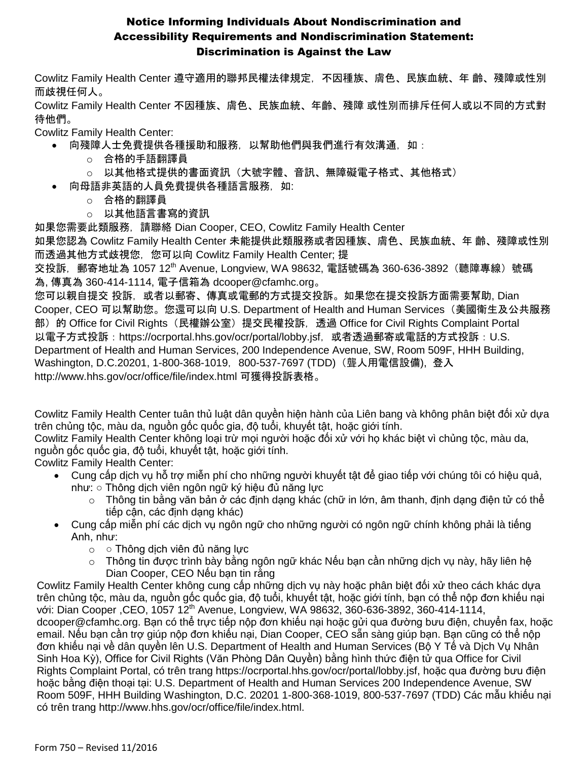Cowlitz Family Health Center 遵守適用的聯邦民權法律規定,不因種族、膚色、民族血統、年 齡、殘障或性別 而歧視任何人。

Cowlitz Family Health Center 不因種族、膚色、民族血統、年齡、殘障 或性別而排斥任何人或以不同的方式對 待他們。

Cowlitz Family Health Center:

- 向殘障人士免費提供各種援助和服務,以幫助他們與我們進行有效溝通,如:
	- o 合格的手語翻譯員
	- o 以其他格式提供的書面資訊(大號字體、音訊、無障礙電子格式、其他格式)
	- 向母語非英語的人員免費提供各種語言服務,如:
		- o 合格的翻譯員
		- o 以其他語言書寫的資訊

如果您需要此類服務,請聯絡 Dian Cooper, CEO, Cowlitz Family Health Center

如果您認為 Cowlitz Family Health Center 未能提供此類服務或者因種族、膚色、民族血統、年 齡、殘障或性別 而透過其他方式歧視您,您可以向 Cowlitz Family Health Center; 提

交投訴,郵寄地址為 1057 12<sup>th</sup> Avenue, Longview, WA 98632, 電話號碼為 360-636-3892(聽障專線)號碼 為, 傳真為 360-414-1114, 電子信箱為 dcooper@cfamhc.org。

您可以親自提交 投訴,或者以郵寄、傳真或電郵的方式提交投訴。如果您在提交投訴方面需要幫助, Dian Cooper, CEO 可以幫助您。您還可以向 U.S. Department of Health and Human Services(美國衛生及公共服務 部) 的 Office for Civil Rights (民權辦公室) 提交民權投訴, 透過 Office for Civil Rights Complaint Portal 以電子方式投訴:https://ocrportal.hhs.gov/ocr/portal/lobby.jsf, 或者透過郵寄或電話的方式投訴:U.S. Department of Health and Human Services, 200 Independence Avenue, SW, Room 509F, HHH Building, Washington, D.C.20201, 1-800-368-1019, 800-537-7697 (TDD) (聾人用電信設備), 登入 http://www.hhs.gov/ocr/office/file/index.html 可獲得投訴表格。

Cowlitz Family Health Center tuân thủ luật dân quyền hiện hành của Liên bang và không phân biệt đối xử dựa trên chủng tộc, màu da, nguồn gốc quốc gia, độ tuổi, khuyết tật, hoặc giới tính.

Cowlitz Family Health Center không loại trừ mọi người hoặc đối xử với họ khác biệt vì chủng tộc, màu da, nguồn gốc quốc gia, độ tuổi, khuyết tật, hoặc giới tính.

Cowlitz Family Health Center:

- Cung cấp dịch vụ hỗ trợ miễn phí cho những người khuyết tật để giao tiếp với chúng tôi có hiệu quả, như: ○ Thông dịch viên ngôn ngữ ký hiệu đủ năng lực
	- $\circ$  Thông tin bằng văn bản ở các định dạng khác (chữ in lớn, âm thanh, định dạng điện tử có thể tiếp cận, các định dạng khác)
- Cung cấp miễn phí các dịch vụ ngôn ngữ cho những người có ngôn ngữ chính không phải là tiếng Anh, như:
	- $\circ$   $\circ$  Thông dịch viên đủ năng lực
	- o Thông tin được trình bày bằng ngôn ngữ khác Nếu bạn cần những dịch vụ này, hãy liên hệ Dian Cooper, CEO Nếu bạn tin rằng

Cowlitz Family Health Center không cung cấp những dịch vụ này hoặc phân biệt đối xử theo cách khác dựa trên chủng tộc, màu da, nguồn gốc quốc gia, độ tuổi, khuyết tật, hoặc giới tính, bạn có thể nộp đơn khiếu nại với: Dian Cooper , CEO, 1057 12<sup>th</sup> Avenue, Longview, WA 98632, 360-636-3892, 360-414-1114, dcooper@cfamhc.org. Bạn có thể trực tiếp nộp đơn khiếu nại hoặc gửi qua đường bưu điện, chuyển fax, hoặc email. Nếu bạn cần trợ giúp nộp đơn khiếu nại, Dian Cooper, CEO sẵn sàng giúp bạn. Bạn cũng có thể nộp đơn khiếu nại về dân quyền lên U.S. Department of Health and Human Services (Bộ Y Tế và Dịch Vụ Nhân Sinh Hoa Kỳ), Office for Civil Rights (Văn Phòng Dân Quyền) bằng hình thức điện tử qua Office for Civil Rights Complaint Portal, có trên trang https://ocrportal.hhs.gov/ocr/portal/lobby.jsf, hoặc qua đường bưu điện hoặc bằng điện thoại tại: U.S. Department of Health and Human Services 200 Independence Avenue, SW Room 509F, HHH Building Washington, D.C. 20201 1-800-368-1019, 800-537-7697 (TDD) Các mẫu khiếu nại có trên trang http://www.hhs.gov/ocr/office/file/index.html.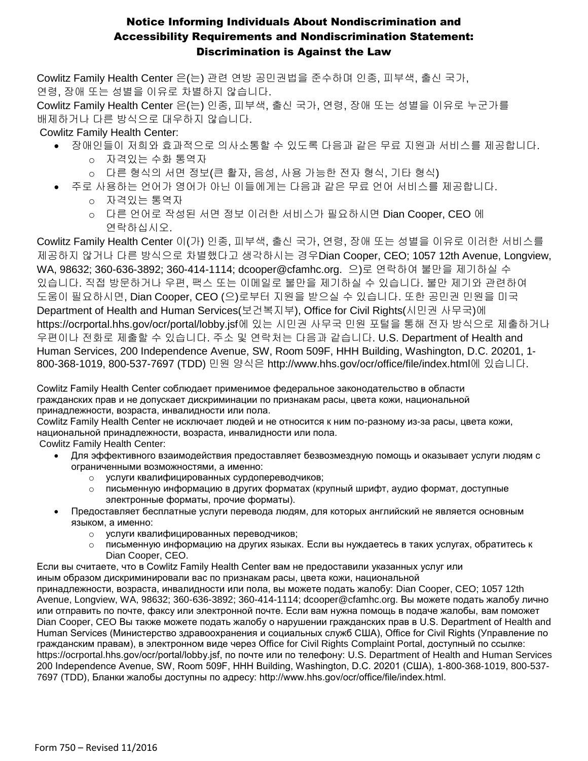Cowlitz Family Health Center 은(는) 관련 연방 공민권법을 준수하며 인종, 피부색, 출신 국가, 연령, 장애 또는 성별을 이유로 차별하지 않습니다.

Cowlitz Family Health Center 은(는) 인종, 피부색, 출신 국가, 연령, 장애 또는 성별을 이유로 누군가를 배제하거나 다른 방식으로 대우하지 않습니다.

### Cowlitz Family Health Center:

- 장애인들이 저희와 효과적으로 의사소통할 수 있도록 다음과 같은 무료 지원과 서비스를 제공합니다.
	- o 자격있는 수화 통역자
	- o 다른 형식의 서면 정보(큰 활자, 음성, 사용 가능한 전자 형식, 기타 형식)
	- 주로 사용하는 언어가 영어가 아닌 이들에게는 다음과 같은 무료 언어 서비스를 제공합니다. o 자격있는 통역자
		- o 다른 언어로 작성된 서면 정보 이러한 서비스가 필요하시면 Dian Cooper, CEO 에 연락하십시오.

Cowlitz Family Health Center 이(가) 인종, 피부색, 출신 국가, 연령, 장애 또는 성별을 이유로 이러한 서비스를 제공하지 않거나 다른 방식으로 차별했다고 생각하시는 경우Dian Cooper, CEO; 1057 12th Avenue, Longview, WA, 98632; 360-636-3892; 360-414-1114; dcooper@cfamhc.org. 으)로 연락하여 불만을 제기하실 수 있습니다. 직접 방문하거나 우편, 팩스 또는 이메일로 불만을 제기하실 수 있습니다. 불만 제기와 관련하여 도움이 필요하시면, Dian Cooper, CEO (으)로부터 지원을 받으실 수 있습니다. 또한 공민권 민원을 미국 Department of Health and Human Services(보건복지부), Office for Civil Rights(시민권 사무국)에 https://ocrportal.hhs.gov/ocr/portal/lobby.jsf에 있는 시민권 사무국 민원 포털을 통해 전자 방식으로 제출하거나 우편이나 전화로 제출할 수 있습니다. 주소 및 연락처는 다음과 같습니다. U.S. Department of Health and Human Services, 200 Independence Avenue, SW, Room 509F, HHH Building, Washington, D.C. 20201, 1- 800-368-1019, 800-537-7697 (TDD) 민원 양식은 http://www.hhs.gov/ocr/office/file/index.html에 있습니다.

Cowlitz Family Health Center соблюдает применимое федеральное законодательство в области гражданских прав и не допускает дискриминации по признакам расы, цвета кожи, национальной принадлежности, возраста, инвалидности или пола.

Cowlitz Family Health Center не исключает людей и не относится к ним по-разному из-за расы, цвета кожи, национальной принадлежности, возраста, инвалидности или пола. Cowlitz Family Health Center:

- Для эффективного взаимодействия предоставляет безвозмездную помощь и оказывает услуги людям с ограниченными возможностями, а именно:
	- o услуги квалифицированных сурдопереводчиков;
	- o письменную информацию в других форматах (крупный шрифт, аудио формат, доступные электронные форматы, прочие форматы).
	- Предоставляет бесплатные услуги перевода людям, для которых английский не является основным языком, а именно:
		- o услуги квалифицированных переводчиков;
		- o письменную информацию на других языках. Если вы нуждаетесь в таких услугах, обратитесь к Dian Cooper, CEO.

Если вы считаете, что в Cowlitz Family Health Center вам не предоставили указанных услуг или иным образом дискриминировали вас по признакам расы, цвета кожи, национальной

принадлежности, возраста, инвалидности или пола, вы можете подать жалобу: Dian Cooper, CEO; 1057 12th Avenue, Longview, WA, 98632; 360-636-3892; 360-414-1114; dcooper@cfamhc.org. Вы можете подать жалобу лично или отправить по почте, факсу или электронной почте. Если вам нужна помощь в подаче жалобы, вам поможет Dian Cooper, CEO Вы также можете подать жалобу о нарушении гражданских прав в U.S. Department of Health and Human Services (Министерство здравоохранения и социальных служб США), Office for Civil Rights (Управление по гражданским правам), в электронном виде через Office for Civil Rights Complaint Portal, доступный по ссылке: https://ocrportal.hhs.gov/ocr/portal/lobby.jsf, по почте или по телефону: U.S. Department of Health and Human Services 200 Independence Avenue, SW, Room 509F, HHH Building, Washington, D.C. 20201 (США), 1-800-368-1019, 800-537- 7697 (TDD), Бланки жалобы доступны по адресу: http://www.hhs.gov/ocr/office/file/index.html.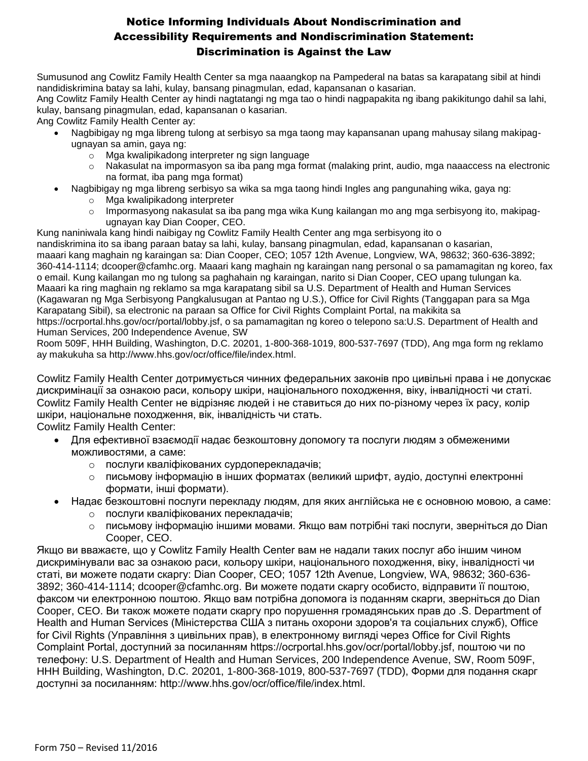Sumusunod ang Cowlitz Family Health Center sa mga naaangkop na Pampederal na batas sa karapatang sibil at hindi nandidiskrimina batay sa lahi, kulay, bansang pinagmulan, edad, kapansanan o kasarian.

Ang Cowlitz Family Health Center ay hindi nagtatangi ng mga tao o hindi nagpapakita ng ibang pakikitungo dahil sa lahi, kulay, bansang pinagmulan, edad, kapansanan o kasarian.

Ang Cowlitz Family Health Center ay:

- Nagbibigay ng mga libreng tulong at serbisyo sa mga taong may kapansanan upang mahusay silang makipagugnayan sa amin, gaya ng:
	- o Mga kwalipikadong interpreter ng sign language
	- o Nakasulat na impormasyon sa iba pang mga format (malaking print, audio, mga naaaccess na electronic na format, iba pang mga format)
- Nagbibigay ng mga libreng serbisyo sa wika sa mga taong hindi Ingles ang pangunahing wika, gaya ng:
	- o Mga kwalipikadong interpreter
		- $\circ$  Impormasyong nakasulat sa iba pang mga wika Kung kailangan mo ang mga serbisyong ito, makipagugnayan kay Dian Cooper, CEO.
- Kung naniniwala kang hindi naibigay ng Cowlitz Family Health Center ang mga serbisyong ito o

nandiskrimina ito sa ibang paraan batay sa lahi, kulay, bansang pinagmulan, edad, kapansanan o kasarian, maaari kang maghain ng karaingan sa: Dian Cooper, CEO; 1057 12th Avenue, Longview, WA, 98632; 360-636-3892; 360-414-1114; dcooper@cfamhc.org. Maaari kang maghain ng karaingan nang personal o sa pamamagitan ng koreo, fax o email. Kung kailangan mo ng tulong sa paghahain ng karaingan, narito si Dian Cooper, CEO upang tulungan ka. Maaari ka ring maghain ng reklamo sa mga karapatang sibil sa U.S. Department of Health and Human Services (Kagawaran ng Mga Serbisyong Pangkalusugan at Pantao ng U.S.), Office for Civil Rights (Tanggapan para sa Mga Karapatang Sibil), sa electronic na paraan sa Office for Civil Rights Complaint Portal, na makikita sa https://ocrportal.hhs.gov/ocr/portal/lobby.jsf, o sa pamamagitan ng koreo o telepono sa:U.S. Department of Health and Human Services, 200 Independence Avenue, SW

Room 509F, HHH Building, Washington, D.C. 20201, 1-800-368-1019, 800-537-7697 (TDD), Ang mga form ng reklamo ay makukuha sa http://www.hhs.gov/ocr/office/file/index.html.

Cowlitz Family Health Center дотримується чинних федеральних законів про цивільні права і не допускає дискримінації за ознакою раси, кольору шкіри, національного походження, віку, інвалідності чи статі. Cowlitz Family Health Center не відрізняє людей і не ставиться до них по-різному через їх расу, колір шкіри, національне походження, вік, інвалідність чи стать. Cowlitz Family Health Center:

- Для ефективної взаємодії надає безкоштовну допомогу та послуги людям з обмеженими можливостями, а саме:
	- o послуги кваліфікованих сурдоперекладачів;
	- o письмову інформацію в інших форматах (великий шрифт, аудіо, доступні електронні формати, інші формати).
	- Надає безкоштовні послуги перекладу людям, для яких англійська не є основною мовою, а саме:
		- o послуги кваліфікованих перекладачів;
		- o письмову інформацію іншими мовами. Якщо вам потрібні такі послуги, зверніться до Dian Cooper, CEO.

Якщо ви вважаєте, що у Cowlitz Family Health Center вам не надали таких послуг або іншим чином дискримінували вас за ознакою раси, кольору шкіри, національного походження, віку, інвалідності чи статі, ви можете подати скаргу: Dian Cooper, CEO; 1057 12th Avenue, Longview, WA, 98632; 360-636- 3892; 360-414-1114; dcooper@cfamhc.org. Ви можете подати скаргу особисто, відправити її поштою, факсом чи електронною поштою. Якщо вам потрібна допомога із поданням скарги, зверніться до Dian Cooper, CEO. Ви також можете подати скаргу про порушення громадянських прав до .S. Department of Health and Human Services (Міністерства США з питань охорони здоров'я та соціальних служб), Office for Civil Rights (Управління з цивільних прав), в електронному вигляді через Office for Civil Rights Complaint Portal, доступний за посиланням https://ocrportal.hhs.gov/ocr/portal/lobby.jsf, поштою чи по телефону: U.S. Department of Health and Human Services, 200 Independence Avenue, SW, Room 509F, HHH Building, Washington, D.C. 20201, 1-800-368-1019, 800-537-7697 (TDD), Форми для подання скарг доступні за посиланням: http://www.hhs.gov/ocr/office/file/index.html.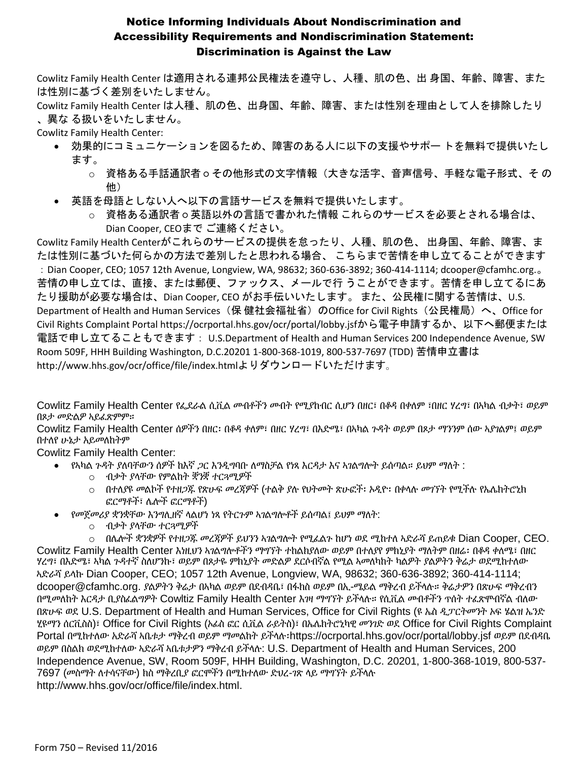Cowlitz Family Health Center は適用される連邦公民権法を遵守し、人種、肌の色、出 身国、年齢、障害、また は性別に基づく差別をいたしません。

Cowlitz Family Health Center は人種、肌の色、出身国、年齢、障害、または性別を理由として人を排除したり 、異な る扱いをいたしません。

Cowlitz Family Health Center:

- 効果的にコミュニケーションを図るため、障害のある人に以下の支援やサポー トを無料で提供いたし ます。
	- o 資格ある手話通訳者 その他形式の文字情報(大きな活字、音声信号、手軽な電子形式、そ の 他)
- 英語を母語としない人へ以下の言語サービスを無料で提供いたします。
	- o 資格ある通訳者 英語以外の言語で書かれた情報 これらのサービスを必要とされる場合は、 Dian Cooper, CEOまで ご連絡ください。

Cowlitz Family Health Centerがこれらのサービスの提供を怠ったり、人種、肌の色、 出身国、年齢、障害、ま たは性別に基づいた何らかの方法で差別したと思われる場合、 こちらまで苦情を申し立てることができます :Dian Cooper, CEO; 1057 12th Avenue, Longview, WA, 98632; 360-636-3892; 360-414-1114; dcooper@cfamhc.org.。 苦情の申し立ては、直接、または郵便、ファックス、メールで行 うことができます。苦情を申し立てるにあ たり援助が必要な場合は、Dian Cooper, CEO がお手伝いいたします。 また、公民権に関する苦情は、U.S. Department of Health and Human Services(保 健社会福祉省)のOffice for Civil Rights(公民権局)へ、Office for Civil Rights Complaint Portal https://ocrportal.hhs.gov/ocr/portal/lobby.jsfから電子申請するか、以下へ郵便または 電話で申し立てることもできます: U.S.Department of Health and Human Services 200 Independence Avenue, SW Room 509F, HHH Building Washington, D.C.20201 1-800-368-1019, 800-537-7697 (TDD) 苦情申立書は http://www.hhs.gov/ocr/office/file/index.htmlよりダウンロードいただけます。

Cowlitz Family Health Center የፌደራል ሲቪል መብቶችን መብት የሚያከብር ሲሆን በዘር፣ በቆዳ በቀለም ፣በዘር ሃረግ፣ በኣካል ብቃት፣ ወይም በጾታ መድልዎ ኣይፈጽምም።

Cowlitz Family Health Center ሰዎችን በዘር፡ በቆዳ ቀለም፣ በዘር ሃረግ፣ በእድሜ፣ በኣካል ጉዳት ወይም በጾታ ማንንም ሰው ኣያገልም፤ ወይም በተለየ ሁኔታ አይመለከትም

Cowlitz Family Health Center:

- የኣካል ጉዳት ያለባቸውን ሰዎች ከእኛ ጋር እንዲግባቡ ለማስቻል የነጻ እርዳታ እና ኣገልግሎት ይሰጣል። ይህም ማለት :
	- o ብቃት ያላቸው የምልከት ቛንቛ ተርጓሚዎች
	- o በተለያዩ መልኮች የተዘጋጁ የጽሁፍ መረጃዎች (ተልቅ ያሉ የህትመት ጽሁፎች፡ ኦዲዮ፡ በቀላሉ መገኘት የሚችሉ የኤሌክትሮኒክ ፎርማቶች፣ ሌሎች ፎርማቶች)
- የመጀመሪያ ቋንቋቸው እንግሊዘኛ ላልሆነ ነጻ የትርጉም ኣገልግሎቶች ይሰጣል፤ ይህም ማለት:
	- o ብቃት ያላቸው ተርጓሚዎች

o በሌሎች ቋንቋዎች የተዘጋጁ መረጃዎች ይህንን ኣገልግሎት የሚፈልጉ ከሆነ ወደ ሚከተለ ኣድራሻ ይጠይቁ Dian Cooper, CEO. Cowlitz Family Health Center እነዚህን ኣገልግሎቶችን ማግኘት ተከልክያለው ወይም በተለያየ ምክኒያት ማለትም በዘሬ፡ በቆዳ ቀለሜ፣ በዘር ሃረግ፣ በእድሜ፣ ኣካል ጉዳተኛ ስለሆንኩ፣ ወይም በጾታዬ ምክኒያት መድልዎ ደርሶብኛል የሚል ኣመለካከት ካልዎት ያልዎትን ቅሬታ ወደሚከተለው ኣድራሻ ይላኩ Dian Cooper, CEO; 1057 12th Avenue, Longview, WA, 98632; 360-636-3892; 360-414-1114; dcooper@cfamhc.org. ያልዎትን ቅሬታ በኣካል ወይም በደብዳቤ፣ በፋክስ ወይም በኢ-ሜይል ማቅረብ ይችላሉ። ቅሬታዎን በጽሁፍ ማቅረብን በሚመለከት እርዳታ ቢያስፈልግዎት Cowltiz Family Health Center እገዛ ማግኘት ይችላሉ። የሲቪል መብቶችን ጥሰት ተፈጽሞብኛል ብለው በጽሁፍ ወደ U.S. Department of Health and Human Services, Office for Civil Rights (ዩ ኤስ ዲፓርትመንት ኦፍ ሄልዝ ኤንድ ሂዩማን ሰርቪስስ)፣ Office for Civil Rights (ኦፊስ ፎር ሲቪል ራይትስ)፣ በኤሌክትሮኒካዊ መንገድ ወደ Office for Civil Rights Complaint Portal በሚከተለው አድራሻ ኣቤቱታ ማቅረብ ወይም ማመልከት ይችላሉ፡https://ocrportal.hhs.gov/ocr/portal/lobby.jsf ወይም በደብዳቤ ወይም በስልክ ወደሚከተለው ኣድራሻ ኣቤቱታዎን ማቅረብ ይችላሉ: U.S. Department of Health and Human Services, 200 Independence Avenue, SW, Room 509F, HHH Building, Washington, D.C. 20201, 1-800-368-1019, 800-537- 7697 (መስማት ለተሳናቸው) ክስ ማቅረቢያ ፎርሞችን በሚከተለው ድህረ-ገጽ ላይ ማግኘት ይችላሉ http://www.hhs.gov/ocr/office/file/index.html.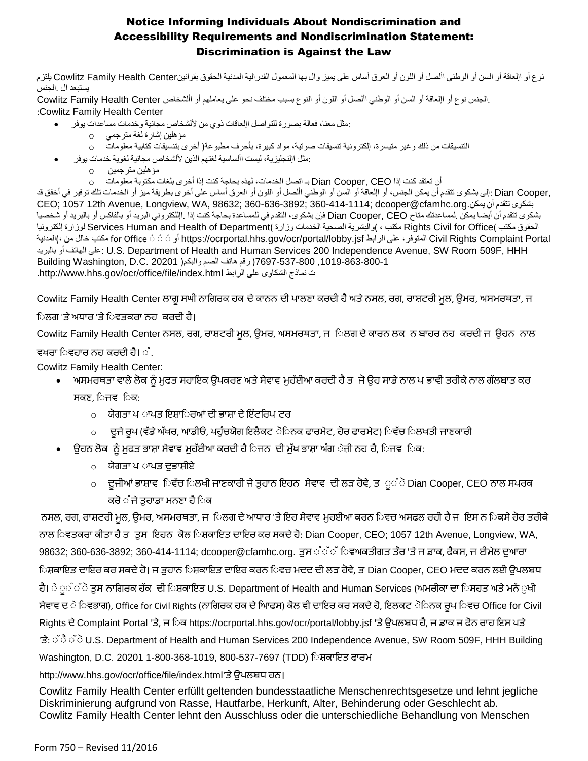نوع أو اإلعاقة أو السن أو الوطني األصل أو اللون أو العرق أساس على يميز وال بها المعمول الفدرالية المدنية الحقوق بقوانينCenter Health Family Cowlitz يلتزم يستبعد ال .الجنس

 .الجنس نوع أو اإلعاقة أو السن أو الوطني األصل أو اللون أو النوع بسبب مختلف نحو على يعاملهم أو األشخاص Center Health Family Cowlitz :Cowlitz Family Health Center

- :مثل معنا، فعالة بصورة للتواصل اإلعاقات ذوي من أللشخاص مجانية وخدمات مساعدات يوفر
	- مؤهلين إشارة لغة مترجمي o
		- التنسيقات من ذلك وغير متيسرة، إلكترونية تنسيقات صوتية، مواد كبيرة، بأحرف مطبوعة( أخرى بتنسيقات كتابية معلومات o
- :مثل اإلنجليزية، ليست األساسية لغتهم الذين أللشخاص مجانية لغوية خدمات يوفر
	- مؤهلين مترجمين o
		- أن تعتقد كنت إذا CEO ,Cooper Dian بـ اتصل الخدمات، لهذه بحاجة كنت إذا أخرى بلغات مكتوبة معلومات o

,Dian Cooper :إلى بشكوى تتقدم أن يمكن الجنس، أو اإلعاقة أو السن أو الوطني األصل أو اللون أو العرق أساس على أخرى بطريقة ميز أو الخدمات تلك توفير في أخفق قد CEO; 1057 12th Avenue, Longview, WA, 98632; 360-636-3892; 360-414-1114; dcooper@cfamhc.org.يمكن أن تتقدم بشكوى بشكوى تتقدم أن أيضا يمكن .لمساعدتك متاح CEO ,Cooper Dian فإن بشكوى، التقدم في للمساعدة بحاجة كنت إذا .اإللكتروني البريد أو بالفاكس أو بالبريد أو شخصيا الحقوق مكتب Rights Civil for Office( مكتب ، )والبشرية الصحية الخدمات وزارة )Services Human and Health of Department لوزارة إلكترونيا المدنية)، من خالل مكتب for Office ً ً ً أو https://ocrportal.hhs.gov/ocr/portal/lobby.jsf الرابط على ،المتوفر Civil Rights Complaint Portal بالبريد أو الهاتف على: U.S. Department of Health and Human Services 200 Independence Avenue, SW Room 509F, HHH ,1019-863-800-1 7697-537-800( رقم هاتف الصم والبكم( 20201 .C.D ,Washington Building .http://www.hhs.gov/ocr/office/file/index.html الرابط على الشكاوى نماذج ت

Cowlitz Family Health Center ਲਾਗੂਸਘੀ ਨਾਗਗਰਕ ਹਕ ਦੇਕਾਨਨ ਦੀ ਪਾਲਣਾ ਕਰਦੀ ਹੈਅਤੇਨਸਲ, ਰਗ, ਰਾਸ਼ਟਰੀ ਮੂਲ, ਉਮਰ, ਅਸਮਰਥਤਾ, ਜ

#### ਿਲਗ 'ਤੇ ਅਧਾਰ 'ਤੇ ਿਵਤਕਰਾ ਨਹ ਕਰਦੀ ਹੈ।

Cowlitz Family Health Center ਨਸਲ, ਰਗ, ਰਾਸ਼ਟਰੀ ਮੂਲ, ਉਮਰ, ਅਸਮਰਥਤਾ, ਜ ਿਲਗ ਦੇ ਕਾਰਨ ਲਕ ਨ ਬਾਹਰ ਨਹ ਕਰਦੀ ਜ ਉਹਨ ਨਾਲ

#### ਵਖਰਾ ਿਵਹਾਰ ਨਹ ਕਰਦੀ ਹੈ।  $\mathring{\circ}$  .

Cowlitz Family Health Center:

- ਅਸਮਰਥਤਾ ਵਾਲੇ ਲੋਕ ਨੂੰ ਮੁਫਤ ਸਹਾਇਕ ਉਪਕਰਣ ਅਤੇ ਸੇਵਾਵ ਮੁਹੱਈਆ ਕਰਦੀ ਹੈ ਤ ਜੋ ਉਹ ਸਾਡੇ ਨਾਲ ਪ ਭਾਵੀ ਤਰੀਕੇ ਨਾਲ ਗੱਲਬਾਤ ਕਰ ਸਕਣ, ਿਜਵਿਕ:
	- $\circ$ ਾ ਯੋਗਤਾ ਪ ਾਪਤ ਇਸਾਿਰਆਂ ਦੀ ਭਾਸ਼ਾ ਦੇ ਇੰਟਰਿਪ ਟਰ
	- o ਦੂਜੇ ਰੂਪ (ਵੱਡੇ ਅੱਖਰ, ਆਡੀਓ, ਪਹੁੰਚਯੋਗ ਇਲੈਕਟ ੋਿਨਕ ਫਾਰਮੇਟ, ਹੋਰ ਫਾਰਮੇਟ) ਿਵੱਚ ਿਲਖਤੀ ਜਾਣਕਾਰੀ
- ਉਹਨ ਲੋਕ ਨੂੰ ਮੁਫਤ ਭਾਸ਼ਾ ਸੇਵਾਵ ਮੁਹੱਈਆ ਕਰਦੀ ਹੈ ਿਜਨ ਦੀ ਮੁੱਖ ਭਾਸ਼ਾ ਅੰਗ ੇਜ਼ੀ ਨਹ ਹੈ, ਿਜਵ ਿਕ:
	- o ਯੋਗਤਾ ਪ ਾਪਤ ਦੁਭਾਸ਼ੀਏ
	- o ਦੂਜੀਆਂ ਭਾਸ਼ਾਵ ਿਵੱਚ ਿਲਖੀ ਜਾਣਕਾਰੀ ਜੇ ਤੁਹਾਨ ਇਹਨ ਸੇਵਾਵ ਦੀ ਲੜ ਹੋਵੇ, ਤ ੂੰ ੋDian Cooper, CEO ਨਾਲ ਸਪਰਕ ਕਰੋ ੰ ਜੇ ਤਹਾਡਾ ਮਨਣਾ ਹੈ ਿਕ

ਨਸਲ, ਰਗ, ਰਾਸ਼ਟਰੀ ਮੂਲ, ਉਮਰ, ਅਸਮਰਥਤਾ, ਜ $\;$ ਿਲਗ ਦੇ ਆਧਾਰ 'ਤੇ ਇਹ ਸੇਵਾਵ ਮੁਹਈਆ ਕਰਨ ਿਵਚ ਅਸਫਲ ਰਹੀ ਹੈ ਜ $\;$  ਇਸ ਨ ਿਕਸੇ ਹੋਰ ਤਰੀਕੇ ਨਾਲ ਿਵਤਕਰਾ ਕੀਤਾ ਹੈ ਤ<sub>ੁ</sub>ਤਸ ਇਹਨ ਕੋਲ ਿਸ਼ਕਾਇਤ ਦਾਇਰ ਕਰ ਸਕਦੇ ਹੋ: Dian Cooper, CEO; 1057 12th Avenue, Longview, WA, 98632; 360-636-3892; 360-414-1114; dcooper@cfamhc.org. ਤੁਸ ੰੱੱ ਿਵਅਕਤੀਗਤ ਤੌਰ 'ਤੇ ਜ ਡਾਕ, ਫੈਕਸ, ਜ ਈਮੇਲ ਦੁਆਰਾ ਿਸ਼ਕਾਇਤ ਦਾਇਰ ਕਰ ਸਕਦੇ ਹੋ। ਜ ਤੁਹਾਨ ਿਸ਼ਕਾਇਤ ਦਾਇਰ ਕਰਨ ਿਵਚ ਮਦਦ ਦੀ ਲੜ ਹੋਵੇ, ਤ Dian Cooper, CEO ਮਦਦ ਕਰਨ ਲਈ ਉਪਲਬਧ ਹੈ। ੇ ੂੰ ੋਤਸ ਨਾਗਿਰਕ ਹੱਕ ਦੀ ਿਸ਼ਕਾਇਤ U.S. Department of Health and Human Services (ਅਮਰੀਕਾ ਦਾ ਿਸਹਤ ਅਤੇ ਮਨੱ ੁਖੀ ਸੇਵਾਵ ਦ ੇ ਿਵਭਾਗ), Office for Civil Rights (ਨਾਗਿਰਕ ਹਕ ਦੇ ਆਿਫਸ) ਕੋਲ ਵੀ ਦਾਇਰ ਕਰ ਸਕਦੇ ਹੋ, ਇਲਕਟ ੋਿਨਕ ਰੂਪ ਿਵਚ Office for Civil Rights ਦੇ Complaint Portal 'ਤੇ, ਜ ਿਕ https://ocrportal.hhs.gov/ocr/portal/lobby.jsf 'ਤੇ ਉਪਲਬਧ ਹੈ, ਜ ਡਾਕ ਜ ਫੋਨ ਰਾਹ ਇਸ ਪਤੇ 'ਤੇ: ੱ ੈ ੱ ੋU.S. Department of Health and Human Services 200 Independence Avenue, SW Room 509F, HHH Building Washington, D.C. 20201 1-800-368-1019, 800-537-7697 (TDD) ਿਸ਼ਕਾਇਤ ਫਾਰਮ

#### http://www.hhs.gov/ocr/office/file/index.html'ਤੇਉਪਲਬਧ ਹਨ।

Cowlitz Family Health Center erfüllt geltenden bundesstaatliche Menschenrechtsgesetze und lehnt jegliche Diskriminierung aufgrund von Rasse, Hautfarbe, Herkunft, Alter, Behinderung oder Geschlecht ab. Cowlitz Family Health Center lehnt den Ausschluss oder die unterschiedliche Behandlung von Menschen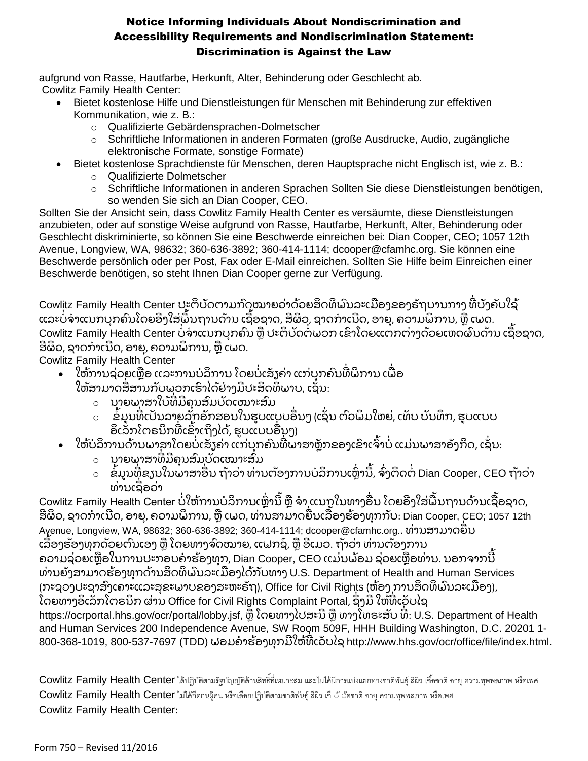aufgrund von Rasse, Hautfarbe, Herkunft, Alter, Behinderung oder Geschlecht ab. Cowlitz Family Health Center:

- Bietet kostenlose Hilfe und Dienstleistungen für Menschen mit Behinderung zur effektiven Kommunikation, wie z. B.:
	- o Qualifizierte Gebärdensprachen-Dolmetscher
	- o Schriftliche Informationen in anderen Formaten (große Ausdrucke, Audio, zugängliche elektronische Formate, sonstige Formate)
- Bietet kostenlose Sprachdienste für Menschen, deren Hauptsprache nicht Englisch ist, wie z. B.:
	- o Qualifizierte Dolmetscher
	- o Schriftliche Informationen in anderen Sprachen Sollten Sie diese Dienstleistungen benötigen, so wenden Sie sich an Dian Cooper, CEO.

Sollten Sie der Ansicht sein, dass Cowlitz Family Health Center es versäumte, diese Dienstleistungen anzubieten, oder auf sonstige Weise aufgrund von Rasse, Hautfarbe, Herkunft, Alter, Behinderung oder Geschlecht diskriminierte, so können Sie eine Beschwerde einreichen bei: Dian Cooper, CEO; 1057 12th Avenue, Longview, WA, 98632; 360-636-3892; 360-414-1114; dcooper@cfamhc.org. Sie können eine Beschwerde persönlich oder per Post, Fax oder E-Mail einreichen. Sollten Sie Hilfe beim Einreichen einer Beschwerde benötigen, so steht Ihnen Dian Cooper gerne zur Verfügung.

Cowlitz Family Health Center ປະຕິບັດຕາມກົດໝາຍວ່າດ້ວຍສິດທິພົນລະເມືອງຂອງຣັຖບານກາງ ທີ່ບັງຄັບໃຊ້ ແລະບໍ່ຈຳແນກບຸກຄົນໂດຍອີງໃສ່ພື້ນຖານດ້ານ ເຊື່ອຊາດ, ສີຜິວ, ຊາດກຳເນີດ, ອາຍຸ, ຄວາມພິການ, ຫຼື ເພດ. Cowlitz Family Health Center ບໍ່ຈ່າແນກບຸກຄົນ ຫຼື ປະຕິບັດຕໍ່ພວກ ເຂົາໂດຍແຕກຕ່າງດ້ວຍເຫດຜົນດ້ານ ເຊື່ອຊາດ, ສີຜິວ, ຊາດກຳເນີດ, ອາຍ, ຄວາມພິການ, ຫື ເພດ.

Cowlitz Family Health Center

- ໃຫ້ການຊ່ວຍເຫຼືອ ແລະການບໍລິການ ໂດຍບໍ່ເສັງຄ່າ ແກ່ບຸກຄົນທີ່ພິການ ເພື່ອ ໃຫ້ສາມາດສື່ສານກັບພຸວກເຮົາໄດ້ຢ່າງມີປະສິດທິພາບ, ເຊັ່ນ:
	- ⊙ ນາຍພາສາໃບ້ທີມີຄຸນສົມບັດເໝາະສົມ
	- $\,\circ\quad$  ຂໍ້ມູນທີ່ເປັນລາຍລັກອັກສອນໃນຮູບແບບອື່ນໆ (ເຊັ່ນ ຕົວພິມໃຫຍ່, ເທັບ ບັນທຶກ, ຮູບແບບ ອິເລັກໂຕຣນິກທີເຂົ້າເຖິງໄດ້, ຮູບແບບອື່ນໆ)
- ໃຫ້ບໍລິການດ້ານພາສາໂດຍບໍ່ເສັງຄ່າ ແກ່ບຸກຄົນທີ່ພາສາຫຼັກຂອງເຂົາເຈົ້າບໍ່ ແມ່ນພາສາອັງກິດ, ເຊັ່ນ:
	- o ນາຍພາສາ ່ທມ ຄຸ ນສົມບັດເໝາະສົມ
	- $\,\circ\,\,$  ຂໍ້ມູນທີ່ຂຽນໃນພາສາອື່ນ ຖ້າວ່າ ທ່ານຕ້ອງການບໍລິການເຫຼົ່ານີ້, ຈົ່ງຕິດຕໍ່ Dian Cooper, CEO ຖ້າວ່າ ທ່ານເຊືອວ່າ

Cowlitz Family Health Center ບໍ່ໃຫ້ການບໍລິການເຫຼົ່ານີ້ ຫຼື ຈຳ ແນກໃນທາງອື່ນ ໂດຍອີງໃສ່ພື້ນຖານດ້ານເຊື່ອຊາດ, ສີຜິວ, ຊາດກຳເນີດ, ອາຍຸ, ຄວາມພິການ, ຫຼື ເພດ, ທ່ານສາມາດຍືນເລື່ອງຮ້ອງທຸກກັບ: Dian Cooper, CEO; 1057 12th Avenue, Longview, WA, 98632; 360-636-3892; 360-414-1114; dcooper@cfamhc.org.. ທ່ານສາມາດຍືນ ເລືອງຮ້ອງທຸກດ້ວຍຕົນເອງ ຫຼື ໂດຍທາງຈົດໝາຍ, ແຟກຊ໌, ຫື ອີເມວ. ຖ້າວ່າ ທ່ານຕ້ອງການ ຄວາມຊ່ວຍເຫຼືອໃນການປະກອບຄຳຮ້ອງທຸກ, Dian Cooper, CEO ແມ່ນພ້ອມ ຊ່ວຍເຫຼືອທ່ານ. ນອກຈາກນີ້ ທ່ານຍັງສາມາດຮ້ອງທຸກດ້ານສິດທິພົນລະເມືອງໄດ້ກັບທາງ U.S. Department of Health and Human Services (ກະຊວງປະຊາສົງເຄາະແລະສຸຂະພາບຂອງສະຫະຣັຖ), Office for Civil Rights (ຫ້ອງ ການສິດທິພົນລະເມືອງ), ໂດຍທາງອິເລັກໂຕຣນິກ ຜ່ານ Office for Civil Rights Complaint Portal, ຊຶ່ງມີ ໃຫ້ທີ່ເວັບໄຊ https://ocrportal.hhs.gov/ocr/portal/lobby.jsf, ຫຼື ໂດຍທາງໄປສະນີ ຫຼື ທາງໂທຣະສັບ ທີ: U.S. Department of Health and Human Services 200 Independence Avenue, SW Room 509F, HHH Building Washington, D.C. 20201 1- 800-368-1019, 800-537-7697 (TDD) ຟອມຄຳຮ້ອງທຸກມີໃຫ້ທີເວັບໄຊ http://www.hhs.gov/ocr/office/file/index.html.

Cowlitz Family Health Center ได้ปฏิบัติตามรัฐบัญญัติด้านสิทธิ์ที่เหมาะสม และไม่ได้มีการแบ่งแยกทางชาติพันธุ์ สีผิว เชื้อชาติ อายุ ความทุพพลภาพ หรือเพศ Cowlitz Family Health Center ไม่ได้กีดกนผู้คน หรือเลือกปฏิบัติตามชาติพันธุ์สีผิว เชืััั้อชาติอายุความทุพพลภาพ หรือเพศ Cowlitz Family Health Center: